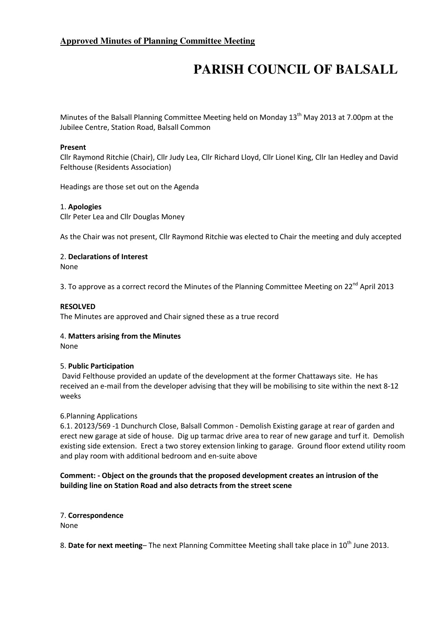# **PARISH COUNCIL OF BALSALL**

Minutes of the Balsall Planning Committee Meeting held on Monday 13<sup>th</sup> May 2013 at 7.00pm at the Jubilee Centre, Station Road, Balsall Common

## Present

Cllr Raymond Ritchie (Chair), Cllr Judy Lea, Cllr Richard Lloyd, Cllr Lionel King, Cllr Ian Hedley and David Felthouse (Residents Association)

Headings are those set out on the Agenda

## 1. Apologies

Cllr Peter Lea and Cllr Douglas Money

As the Chair was not present, Cllr Raymond Ritchie was elected to Chair the meeting and duly accepted

## 2. Declarations of Interest

None

3. To approve as a correct record the Minutes of the Planning Committee Meeting on  $22^{nd}$  April 2013

### RESOLVED

The Minutes are approved and Chair signed these as a true record

## 4. Matters arising from the Minutes

None

## 5. Public Participation

 David Felthouse provided an update of the development at the former Chattaways site. He has received an e-mail from the developer advising that they will be mobilising to site within the next 8-12 weeks

#### 6.Planning Applications

6.1. 20123/569 -1 Dunchurch Close, Balsall Common - Demolish Existing garage at rear of garden and erect new garage at side of house. Dig up tarmac drive area to rear of new garage and turf it. Demolish existing side extension. Erect a two storey extension linking to garage. Ground floor extend utility room and play room with additional bedroom and en-suite above

## Comment: - Object on the grounds that the proposed development creates an intrusion of the building line on Station Road and also detracts from the street scene

7. Correspondence None

8. Date for next meeting– The next Planning Committee Meeting shall take place in 10<sup>th</sup> June 2013.